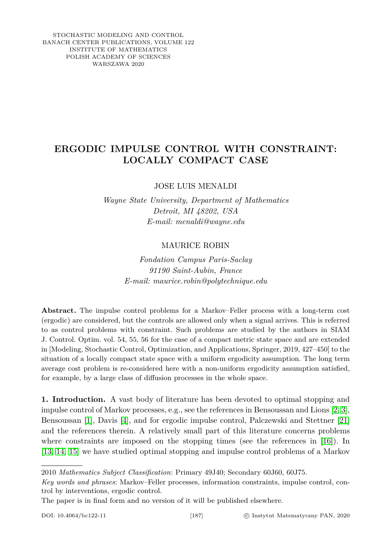STOCHASTIC MODELING AND CONTROL BANACH CENTER PUBLICATIONS, VOLUME 122 INSTITUTE OF MATHEMATICS POLISH ACADEMY OF SCIENCES WARSZAWA 2020

# **ERGODIC IMPULSE CONTROL WITH CONSTRAINT: LOCALLY COMPACT CASE**

JOSE LUIS MENALDI

*Wayne State University, Department of Mathematics Detroit, MI 48202, USA E-mail: menaldi@wayne.edu*

## MAURICE ROBIN

*Fondation Campus Paris-Saclay 91190 Saint-Aubin, France E-mail: maurice.robin@polytechnique.edu*

**Abstract.** The impulse control problems for a Markov–Feller process with a long-term cost (ergodic) are considered, but the controls are allowed only when a signal arrives. This is referred to as control problems with constraint. Such problems are studied by the authors in SIAM J. Control. Optim. vol. 54, 55, 56 for the case of a compact metric state space and are extended in [Modeling, Stochastic Control, Optimization, and Applications, Springer, 2019, 427–450] to the situation of a locally compact state space with a uniform ergodicity assumption. The long term average cost problem is re-considered here with a non-uniform ergodicity assumption satisfied, for example, by a large class of diffusion processes in the whole space.

**1. Introduction.** A vast body of literature has been devoted to optimal stopping and impulse control of Markov processes, e.g., see the references in Bensoussan and Lions [\[2,](#page-18-0) [3\]](#page-18-1), Bensoussan [\[1\]](#page-18-2), Davis [\[4\]](#page-18-3), and for ergodic impulse control, Palczewski and Stettner [\[21\]](#page-19-0) and the references therein. A relatively small part of this literature concerns problems where constraints are imposed on the stopping times (see the references in [\[16\]](#page-19-1)). In [\[13,](#page-19-2) [14,](#page-19-3) [15\]](#page-19-4) we have studied optimal stopping and impulse control problems of a Markov

<sup>2010</sup> *Mathematics Subject Classification*: Primary 49J40; Secondary 60J60, 60J75.

*Key words and phrases*: Markov–Feller processes, information constraints, impulse control, control by interventions, ergodic control.

The paper is in final form and no version of it will be published elsewhere.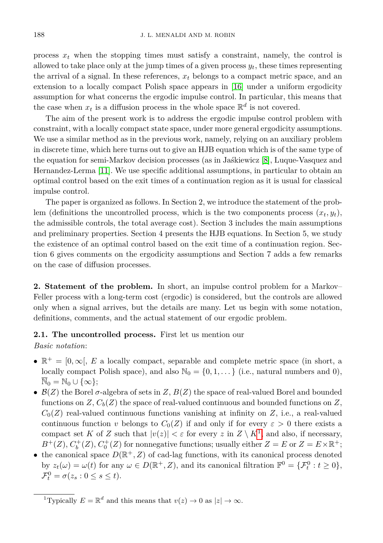process  $x_t$  when the stopping times must satisfy a constraint, namely, the control is allowed to take place only at the jump times of a given process *yt*, these times representing the arrival of a signal. In these references, *x<sup>t</sup>* belongs to a compact metric space, and an extension to a locally compact Polish space appears in [\[16\]](#page-19-1) under a uniform ergodicity assumption for what concerns the ergodic impulse control. In particular, this means that the case when  $x_t$  is a diffusion process in the whole space  $\mathbb{R}^d$  is not covered.

The aim of the present work is to address the ergodic impulse control problem with constraint, with a locally compact state space, under more general ergodicity assumptions. We use a similar method as in the previous work, namely, relying on an auxiliary problem in discrete time, which here turns out to give an HJB equation which is of the same type of the equation for semi-Markov decision processes (as in Jaśkiewicz [\[8\]](#page-19-5), Luque-Vasquez and Hernandez-Lerma [\[11\]](#page-19-6). We use specific additional assumptions, in particular to obtain an optimal control based on the exit times of a continuation region as it is usual for classical impulse control.

The paper is organized as follows. In Section 2, we introduce the statement of the problem (definitions the uncontrolled process, which is the two components process  $(x_t, y_t)$ , the admissible controls, the total average cost). Section 3 includes the main assumptions and preliminary properties. Section 4 presents the HJB equations. In Section 5, we study the existence of an optimal control based on the exit time of a continuation region. Section 6 gives comments on the ergodicity assumptions and Section 7 adds a few remarks on the case of diffusion processes.

**2. Statement of the problem.** In short, an impulse control problem for a Markov– Feller process with a long-term cost (ergodic) is considered, but the controls are allowed only when a signal arrives, but the details are many. Let us begin with some notation, definitions, comments, and the actual statement of our ergodic problem.

### **2.1. The uncontrolled process.** First let us mention our

*Basic notation*:

- $\mathbb{R}^+ = [0, \infty], E$  a locally compact, separable and complete metric space (in short, a locally compact Polish space), and also  $\mathbb{N}_0 = \{0, 1, \dots\}$  (i.e., natural numbers and 0),  $\overline{\mathbb{N}}_0 = \mathbb{N}_0 \cup \{\infty\};$
- B(*Z*) the Borel *σ*-algebra of sets in *Z*, *B*(*Z*) the space of real-valued Borel and bounded functions on  $Z$ ,  $C_b(Z)$  the space of real-valued continuous and bounded functions on  $Z$ ,  $C_0(Z)$  real-valued continuous functions vanishing at infinity on *Z*, i.e., a real-valued continuous function *v* belongs to  $C_0(Z)$  if and only if for every  $\varepsilon > 0$  there exists a compact set *K* of *Z* such that  $|v(z)| < \varepsilon$  for every *z* in  $Z \setminus K^1$  $Z \setminus K^1$ , and also, if necessary,  $B^+(Z)$ ,  $C_b^+(Z)$ ,  $C_0^+(Z)$  for nonnegative functions; usually either  $Z = E$  or  $Z = E \times \mathbb{R}^+$ ;
- the canonical space  $D(\mathbb{R}^+, Z)$  of cad-lag functions, with its canonical process denoted by  $z_t(\omega) = \omega(t)$  for any  $\omega \in D(\mathbb{R}^+, Z)$ , and its canonical filtration  $\mathbb{F}^0 = {\{\mathcal{F}_t^0 : t \geq 0\}}$ ,  $\mathcal{F}_t^0 = \sigma(z_s : 0 \le s \le t).$

<span id="page-1-1"></span><span id="page-1-0"></span><sup>&</sup>lt;sup>1</sup>Typically  $E = \mathbb{R}^d$  and this means that  $v(z) \to 0$  as  $|z| \to \infty$ .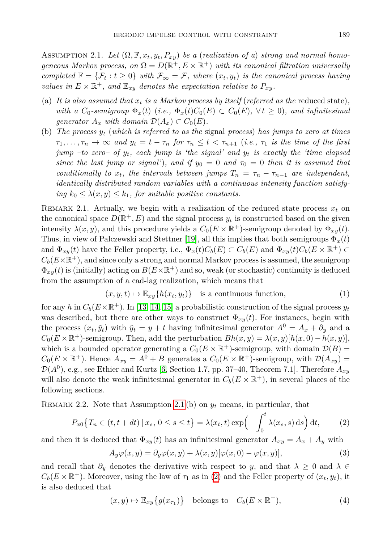ASSUMPTION 2.1. Let  $(\Omega, \mathbb{F}, x_t, y_t, P_{xy})$  be a (realization of a) strong and normal homo*geneous Markov process, on*  $\Omega = D(\mathbb{R}^+, E \times \mathbb{R}^+)$  *with its canonical filtration universally completed*  $\mathbb{F} = \{ \mathcal{F}_t : t \geq 0 \}$  *with*  $\mathcal{F}_{\infty} = \mathcal{F}$ *, where*  $(x_t, y_t)$  *is the canonical process having values in*  $E \times \mathbb{R}^+$ *, and*  $\mathbb{E}_{xy}$  *denotes the expectation relative to*  $P_{xy}$ *.* 

- (a) It is also assumed that  $x_t$  is a Markov process by itself (referred as the reduced state), *with a*  $C_0$ -semigroup  $\Phi_x(t)$  (*i.e.*,  $\Phi_x(t)C_0(E) \subset C_0(E)$ ,  $\forall t \geq 0$ ), and infinitesimal *generator*  $A_x$  *with domain*  $\mathcal{D}(A_x) \subset C_0(E)$ *.*
- (b) *The process y<sup>t</sup>* (*which is referred to as the* signal *process*) *has jumps to zero at times*  $\tau_1, \ldots, \tau_n \to \infty$  and  $y_t = t - \tau_n$  for  $\tau_n \leq t < \tau_{n+1}$  (*i.e.*,  $\tau_1$  *is the time of the first jump –to zero– of yt, each jump is 'the signal' and y<sup>t</sup> is exactly the 'time elapsed since the last jump or signal'*), and if  $y_0 = 0$  and  $\tau_0 = 0$  then it is assumed that *conditionally to*  $x_t$ , the intervals between jumps  $T_n = \tau_n - \tau_{n-1}$  are independent, *identically distributed random variables with a continuous intensity function satisfying*  $k_0 \leq \lambda(x, y) \leq k_1$ , for suitable positive constants.

REMARK 2.1. Actually, we begin with a realization of the reduced state process  $x_t$  on the canonical space  $D(\mathbb{R}^+, E)$  and the signal process  $y_t$  is constructed based on the given intensity  $\lambda(x, y)$ , and this procedure yields a  $C_0(E \times \mathbb{R}^+)$ -semigroup denoted by  $\Phi_{xy}(t)$ . Thus, in view of Palczewski and Stettner [\[19\]](#page-19-7), all this implies that both semigroups Φ*x*(*t*) and  $\Phi_{xy}(t)$  have the Feller property, i.e.,  $\Phi_x(t)C_b(E) \subset C_b(E)$  and  $\Phi_{xy}(t)C_b(E \times \mathbb{R}^+) \subset$  $C_b(E\times\mathbb{R}^+)$ , and since only a strong and normal Markov process is assumed, the semigroup  $\Phi_{xy}(t)$  is (initially) acting on  $B(E\times\mathbb{R}^+)$  and so, weak (or stochastic) continuity is deduced from the assumption of a cad-lag realization, which means that

$$
(x, y, t) \mapsto \mathbb{E}_{xy} \{h(x_t, y_t)\} \text{ is a continuous function, } (1)
$$

for any *h* in  $C_b(E\times\mathbb{R}^+)$ . In [\[13,](#page-19-2) [14,](#page-19-3) [15\]](#page-19-4) a probabilistic construction of the signal process  $y_t$ was described, but there are other ways to construct  $\Phi_{xy}(t)$ . For instances, begin with the process  $(x_t, \tilde{y}_t)$  with  $\tilde{y}_t = y + t$  having infinitesimal generator  $A^0 = A_x + \partial_y$  and a  $C_0(E \times \mathbb{R}^+)$ -semigroup. Then, add the perturbation  $Bh(x, y) = \lambda(x, y)[h(x, 0) - h(x, y)]$ , which is a bounded operator generating a  $C_0(E \times \mathbb{R}^+)$ -semigroup, with domain  $\mathcal{D}(B)$  =  $C_0(E \times \mathbb{R}^+)$ . Hence  $A_{xy} = A^0 + B$  generates a  $C_0(E \times \mathbb{R}^+)$ -semigroup, with  $\mathcal{D}(A_{xy}) =$  $\mathcal{D}(A^0)$ , e.g., see Ethier and Kurtz [\[6,](#page-19-8) Section 1.7, pp. 37–40, Theorem 7.1]. Therefore  $A_{xy}$ will also denote the weak infinitesimal generator in  $C_b(E \times \mathbb{R}^+)$ , in several places of the following sections.

<span id="page-2-1"></span>REMARK 2.2. Note that Assumption [2.1](#page-1-1) (b) on  $y_t$  means, in particular, that

$$
P_{x0}\big\{T_n \in (t, t+dt) \mid x_s, \ 0 \le s \le t\big\} = \lambda(x_t, t) \exp\Bigl(-\int_0^t \lambda(x_s, s) \,ds\Bigr) dt,\tag{2}
$$

and then it is deduced that  $\Phi_{xy}(t)$  has an infinitesimal generator  $A_{xy} = A_x + A_y$  with

<span id="page-2-0"></span>
$$
A_y \varphi(x, y) = \partial_y \varphi(x, y) + \lambda(x, y) [\varphi(x, 0) - \varphi(x, y)], \tag{3}
$$

and recall that  $\partial_y$  denotes the derivative with respect to *y*, and that  $\lambda \geq 0$  and  $\lambda \in$  $C_b(E \times \mathbb{R}^+)$ . Moreover, using the law of  $\tau_1$  as in [\(2\)](#page-2-0) and the Feller property of  $(x_t, y_t)$ , it is also deduced that

$$
(x,y) \mapsto \mathbb{E}_{xy} \{ g(x_{\tau_1}) \} \quad \text{belongs to} \quad C_b(E \times \mathbb{R}^+), \tag{4}
$$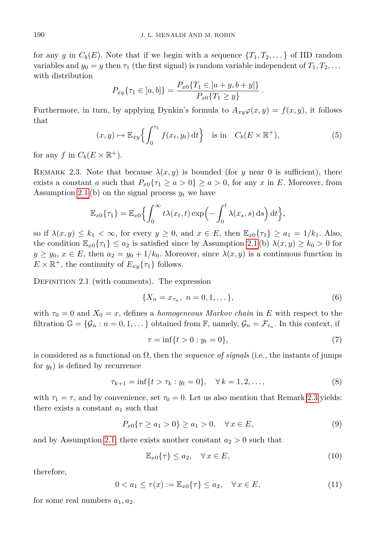for any *g* in  $C_b(E)$ . Note that if we begin with a sequence  $\{T_1, T_2, \ldots\}$  of IID random variables and  $y_0 = y$  then  $\tau_1$  (the first signal) is random variable independent of  $T_1, T_2, \ldots$ with distribution

$$
P_{xy}\{\tau_1 \in [a, b]\} = \frac{P_{x0}\{T_1 \in [a+y, b+y]\}}{P_{x0}\{T_1 \ge y\}}
$$

Furthermore, in turn, by applying Dynkin's formula to  $A_{xy}\varphi(x,y) = f(x,y)$ , it follows that

$$
(x, y) \mapsto \mathbb{E}_{xy} \left\{ \int_0^{\tau_1} f(x_t, y_t) dt \right\} \quad \text{is in} \quad C_b(E \times \mathbb{R}^+), \tag{5}
$$

*.*

for any *f* in  $C_b(E \times \mathbb{R}^+).$ 

<span id="page-3-0"></span>REMARK 2.3. Note that because  $\lambda(x, y)$  is bounded (for *y* near 0 is sufficient), there exists a constant *a* such that  $P_{x0}\{\tau_1 \ge a > 0\} \ge a > 0$ , for any *x* in *E*. Moreover, from Assumption [2.1](#page-1-1) (b) on the signal process  $y_t$  we have

$$
\mathbb{E}_{x0}\{\tau_1\} = \mathbb{E}_{x0}\left\{\int_0^\infty t\lambda(x_t,t)\exp\left(-\int_0^t \lambda(x_s,s)\,\mathrm{d} s\right)\mathrm{d} t\right\},\,
$$

so if  $\lambda(x, y) \leq k_1 < \infty$ , for every  $y \geq 0$ , and  $x \in E$ , then  $\mathbb{E}_{x0} \{ \tau_1 \} \geq a_1 = 1/k_1$ . Also, the condition  $\mathbb{E}_{x_0} \{ \tau_1 \} \leq a_2$  is satisfied since by Assumption [2.1](#page-1-1) (b)  $\lambda(x, y) \geq k_0 > 0$  for  $y \geq y_0, x \in E$ , then  $a_2 = y_0 + 1/k_0$ . Moreover, since  $\lambda(x, y)$  is a continuous function in  $E \times \mathbb{R}^+$ , the continuity of  $E_{xy}\{\tau_1\}$  follows.

<span id="page-3-2"></span>DEFINITION 2.1 (with comments). The expression

$$
\{X_n = x_{\tau_n}, \ n = 0, 1, \dots\},\tag{6}
$$

with  $\tau_0 = 0$  and  $X_0 = x$ , defines a *homogeneous Markov chain* in E with respect to the filtration  $\mathbb{G} = {\mathcal{G}_n : n = 0, 1, \ldots}$  obtained from  $\mathbb{F}$ , namely,  $\mathcal{G}_n = \mathcal{F}_{\tau_n}$ . In this context, if

<span id="page-3-3"></span><span id="page-3-1"></span>
$$
\tau = \inf\{t > 0 : y_t = 0\},\tag{7}
$$

is considered as a functional on Ω, then the *sequence of signals* (i.e., the instants of jumps for  $y_t$ ) is defined by recurrence

$$
\tau_{k+1} = \inf\{t > \tau_k : y_t = 0\}, \quad \forall \, k = 1, 2, \dots,
$$
\n(8)

with  $\tau_1 = \tau$ , and by convenience, set  $\tau_0 = 0$ . Let us also mention that Remark [2.3](#page-3-0) yields: there exists a constant  $a_1$  such that

$$
P_{x0}\{\tau \ge a_1 > 0\} \ge a_1 > 0, \quad \forall x \in E,
$$
\n(9)

and by Assumption [2.1,](#page-1-1) there exists another constant  $a_2 > 0$  such that

<span id="page-3-4"></span>
$$
\mathbb{E}_{x0}\{\tau\} \le a_2, \quad \forall \, x \in E,\tag{10}
$$

therefore,

$$
0 < a_1 \le \tau(x) := \mathbb{E}_{x0} \{ \tau \} \le a_2, \quad \forall x \in E,
$$
\n(11)

for some real numbers  $a_1, a_2$ .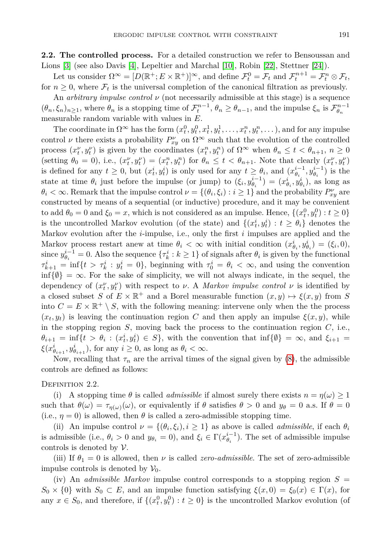**2.2. The controlled process.** For a detailed construction we refer to Bensoussan and Lions [\[3\]](#page-18-1) (see also Davis [\[4\]](#page-18-3), Lepeltier and Marchal [\[10\]](#page-19-9), Robin [\[22\]](#page-19-10), Stettner [\[24\]](#page-19-11)).

Let us consider  $\Omega^{\infty} = [D(\mathbb{R}^+; E \times \mathbb{R}^+)]^{\infty}$ , and define  $\mathcal{F}_t^0 = \mathcal{F}_t$  and  $\mathcal{F}_t^{n+1} = \mathcal{F}_t^n \otimes \mathcal{F}_t$ , for  $n \geq 0$ , where  $\mathcal{F}_t$  is the universal completion of the canonical filtration as previously.

An *arbitrary impulse control ν* (not necessarily admissible at this stage) is a sequence  $(\theta_n, \xi_n)_{n \geq 1}$ , where  $\theta_n$  is a stopping time of  $\mathcal{F}_t^{n-1}$ ,  $\theta_n \geq \theta_{n-1}$ , and the impulse  $\xi_n$  is  $\mathcal{F}_{\theta_n}^{n-1}$ measurable random variable with values in *E*.

The coordinate in  $\Omega^{\infty}$  has the form  $(x_t^0, y_t^0, x_t^1, y_t^1, \ldots, x_t^n, y_t^n, \ldots)$ , and for any impulse control *ν* there exists a probability  $P_{xy}^{\nu}$  on  $\Omega^{\infty}$  such that the evolution of the controlled process  $(x_t^{\nu}, y_t^{\nu})$  is given by the coordinates  $(x_t^n, y_t^n)$  of  $\Omega^{\infty}$  when  $\theta_n \le t < \theta_{n+1}, n \ge 0$ (setting  $\theta_0 = 0$ ), i.e.,  $(x_t^{\nu}, y_t^{\nu}) = (x_t^n, y_t^n)$  for  $\theta_n \le t < \theta_{n+1}$ . Note that clearly  $(x_t^{\nu}, y_t^{\nu})$ is defined for any  $t \geq 0$ , but  $(x_t^i, y_t^i)$  is only used for any  $t \geq \theta_i$ , and  $(x_{\theta_i}^{i-1}, y_{\theta_i}^{i-1})$  is the state at time  $\theta_i$  just before the impulse (or jump) to  $(\xi_i, y_{\theta_i}^{i-1}) = (x_{\theta_i}^i, y_{\theta_i}^i)$ , as long as  $\theta_i < \infty$ . Remark that the impulse control  $\nu = \{(\theta_i, \xi_i) : i \geq 1\}$  and the probability  $P_{xy}^{\nu}$  are constructed by means of a sequential (or inductive) procedure, and it may be convenient to add  $\theta_0 = 0$  and  $\xi_0 = x$ , which is not considered as an impulse. Hence,  $\{(x_t^0, y_t^0) : t \ge 0\}$ is the uncontrolled Markov evolution (of the state) and  $\{(x_t^i, y_t^i): t \geq \theta_i\}$  denotes the Markov evolution after the *i*-impulse, i.e., only the first *i* impulses are applied and the Markov process restart anew at time  $\theta_i < \infty$  with initial condition  $(x_{\theta_i}^i, y_{\theta_i}^i) = (\xi_i, 0),$ since  $y_{\theta_i}^{i-1} = 0$ . Also the sequence  $\{\tau_k^i : k \ge 1\}$  of signals after  $\theta_i$  is given by the functional  $\tau_{k+1}^i = \inf\{t > \tau_k^i : y_t^i = 0\}$ , beginning with  $\tau_0^i = \theta_i < \infty$ , and using the convention  $\inf\{\emptyset\} = \infty$ . For the sake of simplicity, we will not always indicate, in the sequel, the dependency of  $(x_t^{\nu}, y_t^{\nu})$  with respect to *ν*. A *Markov impulse control ν* is identified by a closed subset *S* of  $E \times \mathbb{R}^+$  and a Borel measurable function  $(x, y) \mapsto \xi(x, y)$  from *S* into  $C = E \times \mathbb{R}^+ \setminus S$ , with the following meaning: intervene only when the the process  $(x_t, y_t)$  is leaving the continuation region *C* and then apply an impulse  $\xi(x, y)$ , while in the stopping region  $S$ , moving back the process to the continuation region  $C$ , i.e.,  $\theta_{i+1} = \inf\{t > \theta_i : (x_i^i, y_i^i) \in S\}$ , with the convention that  $\inf\{\emptyset\} = \infty$ , and  $\xi_{i+1} =$  $\xi(x_{\theta_{i+1}}^i, y_{\theta_{i+1}}^i)$ , for any  $i \geq 0$ , as long as  $\theta_i < \infty$ .

Now, recalling that  $\tau_n$  are the arrival times of the signal given by [\(8\)](#page-3-1), the admissible controls are defined as follows:

#### DEFINITION 2.2.

(i) A stopping time  $\theta$  is called *admissible* if almost surely there exists  $n = \eta(\omega) \ge 1$ such that  $\theta(\omega) = \tau_{\eta(\omega)}(\omega)$ , or equivalently if  $\theta$  satisfies  $\theta > 0$  and  $y_{\theta} = 0$  a.s. If  $\theta = 0$ (i.e.,  $\eta = 0$ ) is allowed, then  $\theta$  is called a zero-admissible stopping time.

(ii) An impulse control  $\nu = \{(\theta_i, \xi_i), i \geq 1\}$  as above is called *admissible*, if each  $\theta_i$ is admissible (i.e.,  $\theta_i > 0$  and  $y_{\theta_i} = 0$ ), and  $\xi_i \in \Gamma(x_{\theta_i}^{i-1})$ . The set of admissible impulse controls is denoted by  $\mathcal V$ .

(iii) If  $\theta_1 = 0$  is allowed, then *v* is called *zero-admissible*. The set of zero-admissible impulse controls is denoted by  $\mathcal{V}_0$ .

(iv) An *admissible Markov* impulse control corresponds to a stopping region  $S =$  $S_0 \times \{0\}$  with  $S_0 \subset E$ , and an impulse function satisfying  $\xi(x,0) = \xi_0(x) \in \Gamma(x)$ , for any  $x \in S_0$ , and therefore, if  $\{(x_t^0, y_t^0): t \geq 0\}$  is the uncontrolled Markov evolution (of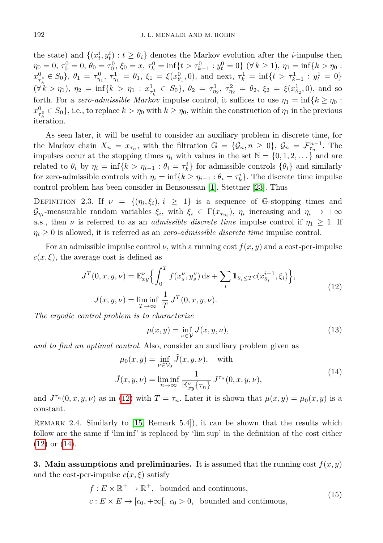the state) and  $\{(x_t^i, y_t^i): t \geq \theta_i\}$  denotes the Markov evolution after the *i*-impulse then  $\eta_0 = 0, \tau_0^0 = 0, \theta_0 = \tau_0^0, \xi_0 = x, \tau_k^0 = \inf\{t > \tau_{k-1}^0 : y_t^0 = 0\} \quad (\forall k \ge 1), \eta_1 = \inf\{k > \eta_0 : y_t^0 = 0\}$  $x_{\tau_k^0}^0 \in S_0$ ,  $\theta_1 = \tau_{\eta_1}^0$ ,  $\tau_{\eta_1}^1 = \theta_1$ ,  $\xi_1 = \xi(x_{\theta_1}^0, 0)$ , and next,  $\tau_k^1 = \inf\{t > \tau_{k-1}^1 : y_t^1 = 0\}$  $(\forall k > \eta_1), \eta_2 = \inf\{k > \eta_1 : x_{\tau_k}^1 \in S_0\}, \theta_2 = \tau_{\eta_2}^1, \tau_{\eta_2}^2 = \theta_2, \xi_2 = \xi(x_{\theta_2}^1, 0), \text{ and so}$ forth. For a *zero-admissible Markov* impulse control, it suffices to use  $\eta_1 = \inf\{k \geq \eta_0 : 0 \leq k \leq n\}$  $x_{\tau_k^0}^0 \in S_0$ , i.e., to replace  $k > \eta_0$  with  $k \geq \eta_0$ , within the construction of  $\eta_1$  in the previous *k* iteration.

As seen later, it will be useful to consider an auxiliary problem in discrete time, for the Markov chain  $X_n = x_{\tau_n}$ , with the filtration  $\mathbb{G} = {\mathcal{G}_n, n \geq 0}$ ,  $\mathcal{G}_n = \mathcal{F}_{\tau_n}^{n-1}$ . The impulses occur at the stopping times  $\eta_i$  with values in the set  $\mathbb{N} = \{0, 1, 2, \dots\}$  and are related to  $\theta_i$  by  $\eta_i = \inf\{k > \eta_{i-1} : \theta_i = \tau_k^i\}$  for admissible controls  $\{\theta_i\}$  and similarly for zero-admissible controls with  $\eta_i = \inf\{k \geq \eta_{i-1} : \theta_i = \tau_k^i\}$ . The discrete time impulse control problem has been consider in Bensoussan [\[1\]](#page-18-2), Stettner [\[23\]](#page-19-12). Thus

DEFINITION 2.3. If  $\nu = \{(\eta_i, \xi_i), i \geq 1\}$  is a sequence of G-stopping times and  $\mathcal{G}_{\eta_i}$ -measurable random variables  $\xi_i$ , with  $\xi_i \in \Gamma(x_{\tau_{\eta_i}})$ ,  $\eta_i$  increasing and  $\eta_i \to +\infty$ a.s., then *v* is referred to as an *admissible discrete time* impulse control if  $\eta_1 \geq 1$ . If  $\eta_i \geq 0$  is allowed, it is referred as an *zero-admissible discrete time* impulse control.

For an admissible impulse control  $\nu$ , with a running cost  $f(x, y)$  and a cost-per-impulse  $c(x,\xi)$ , the average cost is defined as

$$
J^{T}(0, x, y, \nu) = \mathbb{E}_{xy}^{\nu} \left\{ \int_{0}^{T} f(x_s^{\nu}, y_s^{\nu}) ds + \sum_{i} \mathbb{1}_{\theta_i \leq T} c(x_{\theta_i}^{i-1}, \xi_i) \right\},
$$
  
\n
$$
J(x, y, \nu) = \liminf_{T \to \infty} \frac{1}{T} J^{T}(0, x, y, \nu).
$$
\n(12)

*The ergodic control problem is to characterize*

<span id="page-5-3"></span><span id="page-5-1"></span><span id="page-5-0"></span>
$$
\mu(x, y) = \inf_{\nu \in \mathcal{V}} J(x, y, \nu),\tag{13}
$$

*and to find an optimal control*. Also, consider an auxiliary problem given as

$$
\mu_0(x, y) = \inf_{\nu \in \mathcal{V}_0} \tilde{J}(x, y, \nu), \quad \text{with}
$$

$$
\tilde{J}(x, y, \nu) = \liminf_{n \to \infty} \frac{1}{\mathbb{E}_y^{\nu} \{\tau_n\}} J^{\tau_n}(0, x, y, \nu), \tag{14}
$$

and  $J^{\tau_n}(0, x, y, \nu)$  as in [\(12\)](#page-5-0) with  $T = \tau_n$ . Later it is shown that  $\mu(x, y) = \mu_0(x, y)$  is a constant.

Remark 2.4. Similarly to [\[15,](#page-19-4) Remark 5.4]), it can be shown that the results which follow are the same if 'lim inf' is replaced by 'lim sup' in the definition of the cost either [\(12\)](#page-5-0) or [\(14\)](#page-5-1).

**3. Main assumptions and preliminaries.** It is assumed that the running cost  $f(x, y)$ and the cost-per-impulse  $c(x, \xi)$  satisfy

<span id="page-5-2"></span>
$$
f: E \times \mathbb{R}^+ \to \mathbb{R}^+,
$$
 bounded and continuous,  

$$
c: E \times E \to [c_0, +\infty[, c_0 > 0,
$$
 bounded and continuous, (15)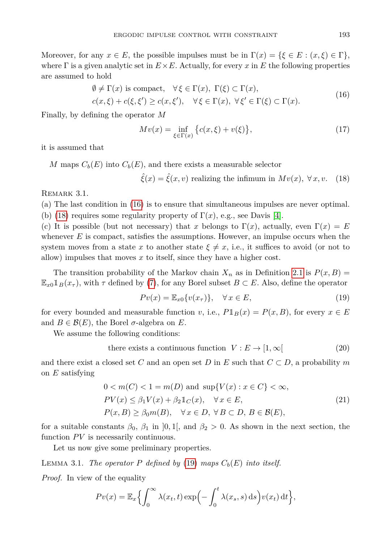Moreover, for any  $x \in E$ , the possible impulses must be in  $\Gamma(x) = \{\xi \in E : (x, \xi) \in \Gamma\},\$ where  $\Gamma$  is a given analytic set in  $E \times E$ . Actually, for every x in E the following properties are assumed to hold

<span id="page-6-0"></span>
$$
\emptyset \neq \Gamma(x) \text{ is compact}, \quad \forall \xi \in \Gamma(x), \ \Gamma(\xi) \subset \Gamma(x), \nc(x,\xi) + c(\xi,\xi') \geq c(x,\xi'), \quad \forall \xi \in \Gamma(x), \ \forall \xi' \in \Gamma(\xi) \subset \Gamma(x). \tag{16}
$$

Finally, by defining the operator *M*

$$
Mv(x) = \inf_{\xi \in \Gamma(x)} \left\{ c(x,\xi) + v(\xi) \right\},\tag{17}
$$

it is assumed that

*M* maps  $C_b(E)$  into  $C_b(E)$ , and there exists a measurable selector

<span id="page-6-1"></span> $\hat{\xi}(x) = \hat{\xi}(x, v)$  realizing the infimum in  $Mv(x)$ ,  $\forall x, v$ . (18)

REMARK 3.1.

(a) The last condition in [\(16\)](#page-6-0) is to ensure that simultaneous impulses are never optimal. (b) [\(18\)](#page-6-1) requires some regularity property of  $\Gamma(x)$ , e.g., see Davis [\[4\]](#page-18-3).

(c) It is possible (but not necessary) that *x* belongs to  $\Gamma(x)$ , actually, even  $\Gamma(x) = E$ whenever  $E$  is compact, satisfies the assumptions. However, an impulse occurs when the system moves from a state x to another state  $\xi \neq x$ , i.e., it suffices to avoid (or not to allow) impulses that moves *x* to itself, since they have a higher cost.

The transition probability of the Markov chain  $X_n$  as in Definition [2.1](#page-3-2) is  $P(x, B) =$  $\mathbb{E}_{x_0} \mathbb{1}_B(x_\tau)$ , with  $\tau$  defined by [\(7\)](#page-3-3), for any Borel subset  $B \subset E$ . Also, define the operator

<span id="page-6-3"></span><span id="page-6-2"></span>
$$
Pv(x) = \mathbb{E}_{x0}\{v(x_{\tau})\}, \quad \forall x \in E,
$$
\n(19)

for every bounded and measurable function *v*, i.e.,  $P1_B(x) = P(x, B)$ , for every  $x \in E$ and  $B \in \mathcal{B}(E)$ , the Borel  $\sigma$ -algebra on E.

We assume the following conditions:

there exists a continuous function 
$$
V: E \to [1, \infty[
$$
 (20)

and there exist a closed set *C* and an open set *D* in *E* such that  $C \subset D$ , a probability *m* on *E* satisfying

<span id="page-6-4"></span>
$$
0 < m(C) < 1 = m(D) \text{ and } \sup\{V(x) : x \in C\} < \infty,
$$
\n
$$
PV(x) \le \beta_1 V(x) + \beta_2 \mathbb{1}_C(x), \quad \forall x \in E,
$$
\n
$$
P(x, B) \ge \beta_0 m(B), \quad \forall x \in D, \forall B \subset D, B \in \mathcal{B}(E),
$$
\n
$$
(21)
$$

for a suitable constants  $\beta_0$ ,  $\beta_1$  in [0, 1[, and  $\beta_2 > 0$ . As shown in the next section, the function  $PV$  is necessarily continuous.

Let us now give some preliminary properties.

<span id="page-6-5"></span>LEMMA 3.1. *The operator*  $P$  *defined by* [\(19\)](#page-6-2) *maps*  $C_b(E)$  *into itself.* 

*Proof.* In view of the equality

$$
Pv(x) = \mathbb{E}_x \Big\{ \int_0^\infty \lambda(x_t, t) \exp\Big(-\int_0^t \lambda(x_s, s) \,ds\Big) v(x_t) \,dt \Big\},\
$$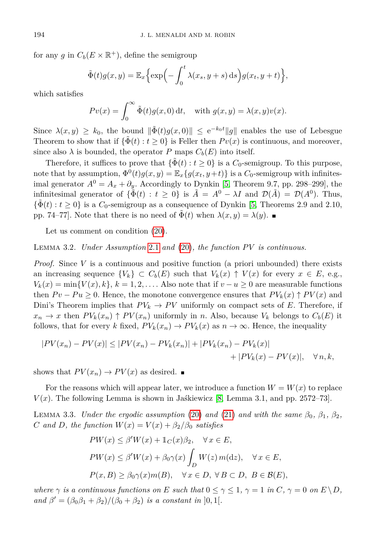for any *g* in  $C_b(E \times \mathbb{R}^+)$ , define the semigroup

$$
\tilde{\Phi}(t)g(x,y) = \mathbb{E}_x \Big\{ \exp\Big(-\int_0^t \lambda(x_s, y+s) \,ds\Big) g(x_t, y+t) \Big\},\,
$$

which satisfies

$$
Pv(x) = \int_0^\infty \tilde{\Phi}(t)g(x,0) dt, \text{ with } g(x,y) = \lambda(x,y)v(x).
$$

Since  $\lambda(x, y) \geq k_0$ , the bound  $\|\tilde{\Phi}(t)g(x, 0)\| \leq e^{-k_0 t} \|g\|$  enables the use of Lebesgue Theorem to show that if  $\{\Phi(t) : t \geq 0\}$  is Feller then  $Pv(x)$  is continuous, and moreover, since also  $\lambda$  is bounded, the operator *P* maps  $C_b(E)$  into itself.

Therefore, it suffices to prove that  $\{\tilde{\Phi}(t): t \geq 0\}$  is a  $C_0$ -semigroup. To this purpose, note that by assumption,  $\Phi^0(t)g(x, y) = \mathbb{E}_x\{g(x_t, y+t)\}\$ is a *C*<sub>0</sub>-semigroup with infinitesimal generator  $A^0 = A_x + \partial_y$ . Accordingly to Dynkin [\[5,](#page-18-4) Theorem 9.7, pp. 298–299], the infinitesimal generator of  $\{\tilde{\Phi}(t): t \geq 0\}$  is  $\tilde{A} = A^0 - \lambda I$  and  $\mathcal{D}(\tilde{A}) = \mathcal{D}(A^0)$ . Thus,  $\{\Phi(t): t \geq 0\}$  is a  $C_0$ -semigroup as a consequence of Dynkin [\[5,](#page-18-4) Theorems 2.9 and 2.10, pp. 74–77. Note that there is no need of  $\Phi(t)$  when  $\lambda(x, y) = \lambda(y)$ .

Let us comment on condition [\(20\)](#page-6-3).

Lemma 3.2. *Under Assumption* [2.1](#page-1-1) *and* [\(20\)](#page-6-3)*, the function P V is continuous.*

*Proof.* Since V is a continuous and positive function (a priori unbounded) there exists an increasing sequence  $\{V_k\} \subset C_b(E)$  such that  $V_k(x) \uparrow V(x)$  for every  $x \in E$ , e.g.,  $V_k(x) = \min\{V(x), k\}, k = 1, 2, \ldots$ . Also note that if  $v - u \geq 0$  are measurable functions then  $P v - P u \geq 0$ . Hence, the monotone convergence ensures that  $P V_k(x) \uparrow P V(x)$  and Dini's Theorem implies that  $PV_k \to PV$  uniformly on compact sets of *E*. Therefore, if  $x_n \to x$  then  $PV_k(x_n) \uparrow PV(x_n)$  uniformly in *n*. Also, because  $V_k$  belongs to  $C_b(E)$  it follows, that for every *k* fixed,  $PV_k(x_n) \to PV_k(x)$  as  $n \to \infty$ . Hence, the inequality

$$
|PV(x_n) - PV(x)| \le |PV(x_n) - PV_k(x_n)| + |PV_k(x_n) - PV_k(x)| + |PV_k(x) - PV(x)|, \quad \forall n, k,
$$

shows that  $PV(x_n) \to PV(x)$  as desired.

For the reasons which will appear later, we introduce a function  $W = W(x)$  to replace  $V(x)$ . The following Lemma is shown in Jaskiewicz [\[8,](#page-19-5) Lemma 3.1, and pp. 2572–73].

<span id="page-7-0"></span>**LEMMA** 3.3. *Under the ergodic assumption* [\(20\)](#page-6-3) *and* [\(21\)](#page-6-4) *and with the same*  $\beta_0$ ,  $\beta_1$ ,  $\beta_2$ , *C* and *D*, the function  $W(x) = V(x) + \beta_2/\beta_0$  satisfies

$$
PW(x) \le \beta'W(x) + \mathbb{1}_C(x)\beta_2, \quad \forall x \in E,
$$
  
\n
$$
PW(x) \le \beta'W(x) + \beta_0\gamma(x) \int_D W(z) m(\mathrm{d}z), \quad \forall x \in E,
$$
  
\n
$$
P(x, B) \ge \beta_0\gamma(x)m(B), \quad \forall x \in D, \forall B \subset D, B \in \mathcal{B}(E),
$$

*where*  $\gamma$  *is a continuous functions on E such that*  $0 \leq \gamma \leq 1$ ,  $\gamma = 1$  *in*  $C$ ,  $\gamma = 0$  *on*  $E \setminus D$ , *and*  $\beta' = (\beta_0 \beta_1 + \beta_2)/(\beta_0 + \beta_2)$  *is a constant in* [0, 1[*.*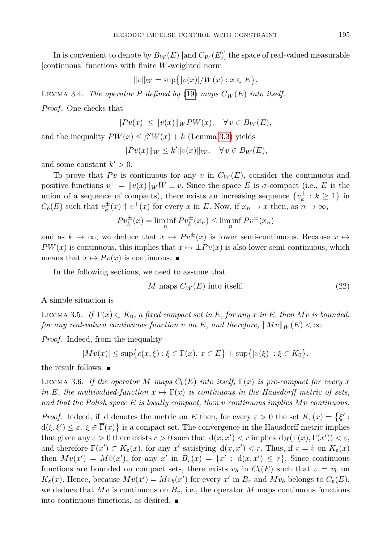In is convenient to denote by  $B_W(E)$  [and  $C_W(E)$ ] the space of real-valued measurable [continuous] functions with finite *W*-weighted norm

$$
||v||_W = \sup\{|v(x)|/W(x) : x \in E\}.
$$

<span id="page-8-1"></span>LEMMA 3.4. *The operator*  $P$  *defined by* [\(19\)](#page-6-2) *maps*  $C_W(E)$  *into itself.* 

*Proof.* One checks that

$$
|Pv(x)| \le ||v(x)||_W P W(x), \quad \forall v \in B_W(E),
$$

and the inequality  $PW(x) \leq \beta'W(x) + k$  (Lemma [3.3\)](#page-7-0) yields

 $||P v(x)||_W \leq k'||v(x)||_W, \quad \forall v \in B_W(E),$ 

and some constant  $k' > 0$ .

To prove that  $Pv$  is continuous for any  $v$  in  $C_W(E)$ , consider the continuous and positive functions  $v^{\pm} = ||v(x)||_W W \pm v$ . Since the space *E* is *σ*-compact (i.e., *E* is the union of a sequence of compacts), there exists an increasing sequence  $\{v_k^{\pm}: k \geq 1\}$  in  $C_b(E)$  such that  $v_k^{\pm}(x) \uparrow v^{\pm}(x)$  for every *x* in *E*. Now, if  $x_n \to x$  then, as  $n \to \infty$ ,

$$
Pv_k^{\pm}(x) = \liminf_n Pv_k^{\pm}(x_n) \le \liminf_n Pv^{\pm}(x_n)
$$

and as  $k \to \infty$ , we deduce that  $x \mapsto Pv^{\pm}(x)$  is lower semi-continuous. Because  $x \mapsto$  $PW(x)$  is continuous, this implies that  $x \mapsto \pm Pv(x)$  is also lower semi-continuous, which means that  $x \mapsto Pv(x)$  is continuous.

In the following sections, we need to assume that

<span id="page-8-2"></span>
$$
M \text{ maps } C_W(E) \text{ into itself.} \tag{22}
$$

A simple situation is

LEMMA 3.5. *If*  $\Gamma(x) \subset K_0$ , a fixed compact set in *E*, for any *x* in *E*; then Mv is bounded, *for any real-valued continuous function v on E*, and therefore,  $||Mv||_W(E) < \infty$ .

*Proof.* Indeed, from the inequality

$$
|Mv(x)| \le \sup \{c(x,\xi) : \xi \in \Gamma(x), x \in E\} + \sup \{|v(\xi)| : \xi \in K_0\},\
$$

the result follows.

LEMMA 3.6. If the operator M maps  $C_b(E)$  into itself,  $\Gamma(x)$  is pre-compact for every x *in E*, the multivalued-function  $x \mapsto \Gamma(x)$  *is continuous in the Hausdorff metric of sets, and that the Polish space E is locally compact, then v continuous implies Mv continuous.*

<span id="page-8-0"></span>*Proof.* Indeed, if d denotes the metric on *E* then, for every  $\varepsilon > 0$  the set  $K_{\varepsilon}(x) = \{\xi :$  $d(\xi, \xi') \leq \varepsilon, \xi \in \overline{\Gamma}(x)$  is a compact set. The convergence in the Hausdorff metric implies that given any  $\varepsilon > 0$  there exists  $r > 0$  such that  $d(x, x') < r$  implies  $d_H(\Gamma(x), \Gamma(x')) < \varepsilon$ , and therefore  $\Gamma(x') \subset K_{\varepsilon}(x)$ , for any  $x'$  satisfying  $d(x, x') < r$ . Thus, if  $v = \tilde{v}$  on  $K_{\varepsilon}(x)$ then  $Mv(x') = M\tilde{v}(x')$ , for any  $x'$  in  $B_r(x) = \{x' : d(x,x') \leq r\}$ . Since continuous functions are bounded on compact sets, there exists  $v_b$  in  $C_b(E)$  such that  $v = v_b$  on  $K_{\varepsilon}(x)$ . Hence, because  $Mv(x') = Mv_b(x')$  for every *x*' in  $B_r$  and  $Mv_b$  belongs to  $C_b(E)$ , we deduce that  $Mv$  is continuous on  $B_r$ , i.e., the operator M maps continuous functions into continuous functions, as desired.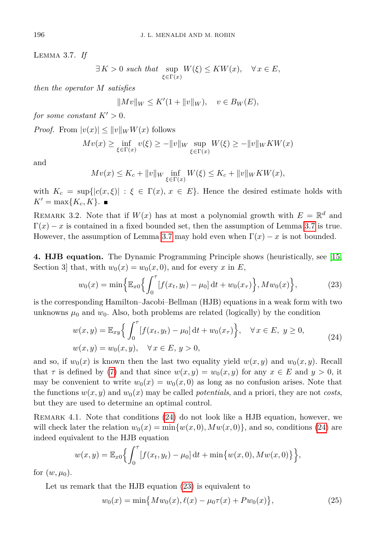Lemma 3.7. *If*

$$
\exists K > 0 \text{ such that } \sup_{\xi \in \Gamma(x)} W(\xi) \leq KW(x), \quad \forall x \in E,
$$

*then the operator M satisfies*

 $\|Mv\|_W \le K'(1 + \|v\|_W), \quad v \in B_W(E),$ 

*for some constant*  $K' > 0$ *.* 

*Proof.* From  $|v(x)| \leq ||v||_W W(x)$  follows

$$
Mv(x) \ge \inf_{\xi \in \Gamma(x)} v(\xi) \ge -\|v\|_{W} \sup_{\xi \in \Gamma(x)} W(\xi) \ge -\|v\|_{W} KW(x)
$$

and

$$
Mv(x)\leq K_c+\|v\|_W\inf_{\xi\in\Gamma(x)}W(\xi)\leq K_c+\|v\|_WKW(x),
$$

with  $K_c = \sup\{|c(x,\xi)| : \xi \in \Gamma(x), x \in E\}$ . Hence the desired estimate holds with  $K' = \max\{K_c, K\}$ .

REMARK 3.2. Note that if  $W(x)$  has at most a polynomial growth with  $E = \mathbb{R}^d$  and  $\Gamma(x) - x$  is contained in a fixed bounded set, then the assumption of Lemma [3.7](#page-8-0) is true. However, the assumption of Lemma [3.7](#page-8-0) may hold even when  $\Gamma(x) - x$  is not bounded.

**4. HJB equation.** The Dynamic Programming Principle shows (heuristically, see [\[15,](#page-19-4) Section 3 that, with  $w_0(x) = w_0(x, 0)$ , and for every x in E,

<span id="page-9-1"></span><span id="page-9-0"></span>
$$
w_0(x) = \min\left\{\mathbb{E}_{x0}\left\{\int_0^{\tau} [f(x_t, y_t) - \mu_0] dt + w_0(x_{\tau})\right\}, Mw_0(x)\right\},\tag{23}
$$

is the corresponding Hamilton–Jacobi–Bellman (HJB) equations in a weak form with two unknowns  $\mu_0$  and  $w_0$ . Also, both problems are related (logically) by the condition

$$
w(x,y) = \mathbb{E}_{xy} \Big\{ \int_0^{\tau} [f(x_t, y_t) - \mu_0] dt + w_0(x_{\tau}) \Big\}, \quad \forall x \in E, y \ge 0,
$$
  

$$
w(x,y) = w_0(x,y), \quad \forall x \in E, y > 0,
$$
 (24)

and so, if  $w_0(x)$  is known then the last two equality yield  $w(x, y)$  and  $w_0(x, y)$ . Recall that  $\tau$  is defined by [\(7\)](#page-3-3) and that since  $w(x, y) = w_0(x, y)$  for any  $x \in E$  and  $y > 0$ , it may be convenient to write  $w_0(x) = w_0(x, 0)$  as long as no confusion arises. Note that the functions  $w(x, y)$  and  $w_0(x)$  may be called *potentials*, and a priori, they are not *costs*, but they are used to determine an optimal control.

Remark 4.1. Note that conditions [\(24\)](#page-9-0) do not look like a HJB equation, however, we will check later the relation  $w_0(x) = \min\{w(x, 0), Mw(x, 0)\}\)$ , and so, conditions [\(24\)](#page-9-0) are indeed equivalent to the HJB equation

$$
w(x,y) = \mathbb{E}_{x0}\Big\{\int_0^{\tau} [f(x_t, y_t) - \mu_0] dt + \min\{w(x,0), Mw(x,0)\}\Big\},\,
$$

for  $(w, \mu_0)$ .

Let us remark that the HJB equation  $(23)$  is equivalent to

<span id="page-9-2"></span>
$$
w_0(x) = \min\{Mw_0(x), \ell(x) - \mu_0 \tau(x) + Pw_0(x)\},\tag{25}
$$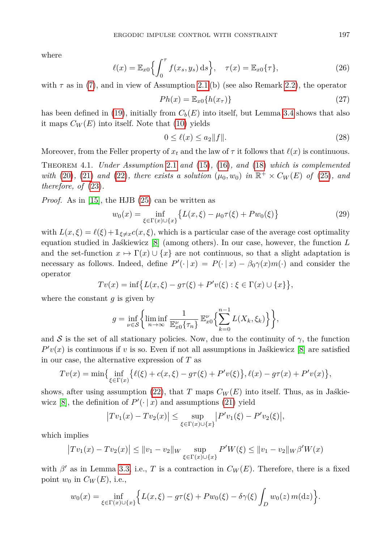where

$$
\ell(x) = \mathbb{E}_{x0}\left\{\int_0^{\tau} f(x_s, y_s) \,ds\right\}, \quad \tau(x) = \mathbb{E}_{x0}\{\tau\},\tag{26}
$$

with  $\tau$  as in [\(7\)](#page-3-3), and in view of Assumption [2.1](#page-1-1) (b) (see also Remark [2.2\)](#page-2-1), the operator

<span id="page-10-2"></span>
$$
Ph(x) = \mathbb{E}_{x0} \{ h(x_{\tau}) \}
$$
\n<sup>(27)</sup>

has been defined in [\(19\)](#page-6-2), initially from  $C_b(E)$  into itself, but Lemma [3.4](#page-8-1) shows that also it maps  $C_W(E)$  into itself. Note that [\(10\)](#page-3-4) yields

<span id="page-10-0"></span>
$$
0 \le \ell(x) \le a_2 \|f\|. \tag{28}
$$

Moreover, from the Feller property of  $x_t$  and the law of  $\tau$  it follows that  $\ell(x)$  is continuous.

<span id="page-10-1"></span>Theorem 4.1. *Under Assumption* [2.1](#page-1-1) *and* [\(15\)](#page-5-2)*,* [\(16\)](#page-6-0)*, and* [\(18\)](#page-6-1) *which is complemented with* [\(20\)](#page-6-3), [\(21\)](#page-6-4) and [\(22\)](#page-8-2)*, there exists a solution*  $(\mu_0, w_0)$  *in*  $\mathbb{R}^+ \times C_W(E)$  *of* [\(25\)](#page-9-2)*, and therefore, of* [\(23\)](#page-9-1)*.*

*Proof.* As in [\[15\]](#page-19-4), the HJB [\(25\)](#page-9-2) can be written as

$$
w_0(x) = \inf_{\xi \in \Gamma(x) \cup \{x\}} \{ L(x, \xi) - \mu_0 \tau(\xi) + P w_0(\xi) \}
$$
(29)

with  $L(x,\xi) = \ell(\xi) + \mathbb{1}_{\xi \neq x} c(x,\xi)$ , which is a particular case of the average cost optimality equation studied in Jaśkiewicz [\[8\]](#page-19-5) (among others). In our case, however, the function *L* and the set-function  $x \mapsto \Gamma(x) \cup \{x\}$  are not continuous, so that a slight adaptation is necessary as follows. Indeed, define  $P'(\cdot | x) = P(\cdot | x) - \beta_0 \gamma(x) m(\cdot)$  and consider the operator

$$
Tv(x) = \inf \{ L(x, \xi) - g\tau(\xi) + P'v(\xi) : \xi \in \Gamma(x) \cup \{x\} \},
$$

where the constant *g* is given by

$$
g = \inf_{\nu \in \mathcal{S}} \left\{ \liminf_{n \to \infty} \frac{1}{\mathbb{E}_{x0}^{\nu} \{\tau_n\}} \mathbb{E}_{x0}^{\nu} \left\{ \sum_{k=0}^{n-1} L(X_k, \xi_k) \right\} \right\},\
$$

and S is the set of all stationary policies. Now, due to the continuity of  $\gamma$ , the function  $P'v(x)$  is continuous if *v* is so. Even if not all assumptions in Jaskiewicz [\[8\]](#page-19-5) are satisfied in our case, the alternative expression of *T* as

$$
Tv(x) = \min\{\inf_{\xi \in \Gamma(x)} \{ \ell(\xi) + c(x,\xi) - g\tau(\xi) + P'v(\xi) \}, \ell(x) - g\tau(x) + P'v(x) \},\
$$

shows, after using assumption [\(22\)](#page-8-2), that *T* maps  $C_W(E)$  into itself. Thus, as in Jaskie-wicz [\[8\]](#page-19-5), the definition of  $P'(\cdot | x)$  and assumptions [\(21\)](#page-6-4) yield

$$
|Tv_1(x) - Tv_2(x)| \le \sup_{\xi \in \Gamma(x) \cup \{x\}} |P'v_1(\xi) - P'v_2(\xi)|,
$$

which implies

$$
|Tv_1(x) - Tv_2(x)| \le ||v_1 - v_2||_W \sup_{\xi \in \Gamma(x) \cup \{x\}} P'W(\xi) \le ||v_1 - v_2||_W \beta'W(x)
$$

with  $\beta'$  as in Lemma [3.3,](#page-7-0) i.e., *T* is a contraction in  $C_W(E)$ . Therefore, there is a fixed point  $w_0$  in  $C_W(E)$ , i.e.,

$$
w_0(x) = \inf_{\xi \in \Gamma(x) \cup \{x\}} \Big\{ L(x,\xi) - g\tau(\xi) + P w_0(\xi) - \delta \gamma(\xi) \int_D w_0(z) \, m(\mathrm{d}z) \Big\}.
$$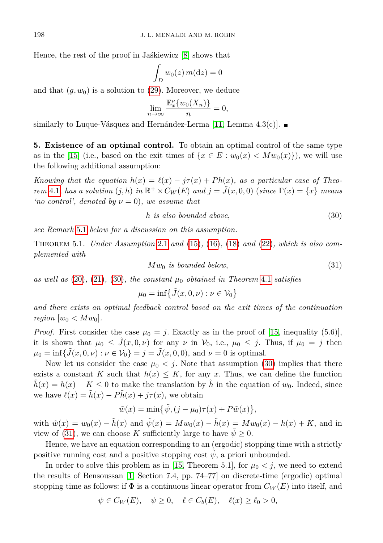Hence, the rest of the proof in Jaśkiewicz [\[8\]](#page-19-5) shows that

$$
\int_D w_0(z) \, m(\mathrm{d}z) = 0
$$

and that  $(g, w_0)$  is a solution to  $(29)$ . Moreover, we deduce

$$
\lim_{n \to \infty} \frac{\mathbb{E}_x^{\nu} \{ w_0(X_n) \}}{n} = 0,
$$

similarly to Luque-Vásquez and Hernández-Lerma [\[11,](#page-19-6) Lemma  $(4.3(c))$ .

<span id="page-11-3"></span>**5. Existence of an optimal control.** To obtain an optimal control of the same type as in the [\[15\]](#page-19-4) (i.e., based on the exit times of  $\{x \in E : w_0(x) < M w_0(x)\}\)$ , we will use the following additional assumption:

*Knowing that the equation*  $h(x) = \ell(x) - j\tau(x) + Ph(x)$ , as a particular case of Theo*rem* [4.1](#page-10-1), has a solution  $(j, h)$  in  $\mathbb{R}^+ \times C_W(E)$  and  $j = \tilde{J}(x, 0, 0)$  (since  $\Gamma(x) = \{x\}$  means *'no control', denoted by*  $\nu = 0$ *), we assume that* 

<span id="page-11-0"></span>
$$
h \text{ is also bounded above},\tag{30}
$$

*see Remark* [5.1](#page-12-0) *below for a discussion on this assumption.*

<span id="page-11-2"></span><span id="page-11-1"></span>Theorem 5.1. *Under Assumption* [2.1](#page-1-1) *and* [\(15\)](#page-5-2)*,* [\(16\)](#page-6-0)*,* [\(18\)](#page-6-1) *and* [\(22\)](#page-8-2)*, which is also complemented with*

 $Mw_0$  *is bounded below*,  $(31)$ 

*as well as* [\(20\)](#page-6-3)*,* [\(21\)](#page-6-4)*,* [\(30\)](#page-11-0)*, the constant µ*<sup>0</sup> *obtained in Theorem* [4.1](#page-10-1) *satisfies*

$$
\mu_0 = \inf \{ \tilde{J}(x, 0, \nu) : \nu \in \mathcal{V}_0 \}
$$

*and there exists an optimal feedback control based on the exit times of the continuation region*  $[w_0 < Mw_0]$ .

*Proof.* First consider the case  $\mu_0 = j$ . Exactly as in the proof of [\[15,](#page-19-4) inequality (5.6)], it is shown that  $\mu_0 \leq \tilde{J}(x, 0, \nu)$  for any  $\nu$  in  $\mathcal{V}_0$ , i.e.,  $\mu_0 \leq j$ . Thus, if  $\mu_0 = j$  then  $\mu_0 = \inf \{ \tilde{J}(x, 0, \nu) : \nu \in \mathcal{V}_0 \} = j = \tilde{J}(x, 0, 0), \text{ and } \nu = 0 \text{ is optimal.}$ 

Now let us consider the case  $\mu_0 < j$ . Note that assumption [\(30\)](#page-11-0) implies that there exists a constant *K* such that  $h(x) \leq K$ , for any *x*. Thus, we can define the function  $h(x) = h(x) - K \leq 0$  to make the translation by *h* in the equation of *w*<sub>0</sub>. Indeed, since we have  $\ell(x) = \tilde{h}(x) - P\tilde{h}(x) + j\tau(x)$ , we obtain

$$
\tilde{w}(x) = \min\{\tilde{\psi}, (j - \mu_0)\tau(x) + P\tilde{w}(x)\},\
$$

with  $\tilde{w}(x) = w_0(x) - \tilde{h}(x)$  and  $\tilde{\psi}(x) = Mw_0(x) - \tilde{h}(x) = Mw_0(x) - h(x) + K$ , and in view of [\(31\)](#page-11-1), we can choose *K* sufficiently large to have  $\psi \geq 0$ .

Hence, we have an equation corresponding to an (ergodic) stopping time with a strictly positive running cost and a positive stopping cost  $\psi$ , a priori unbounded.

In order to solve this problem as in [\[15,](#page-19-4) Theorem 5.1], for  $\mu_0 < j$ , we need to extend the results of Bensoussan [\[1,](#page-18-2) Section 7.4, pp. 74–77] on discrete-time (ergodic) optimal stopping time as follows: if  $\Phi$  is a continuous linear operator from  $C_W(E)$  into itself, and

$$
\psi \in C_W(E), \quad \psi \ge 0, \quad \ell \in C_b(E), \quad \ell(x) \ge \ell_0 > 0,
$$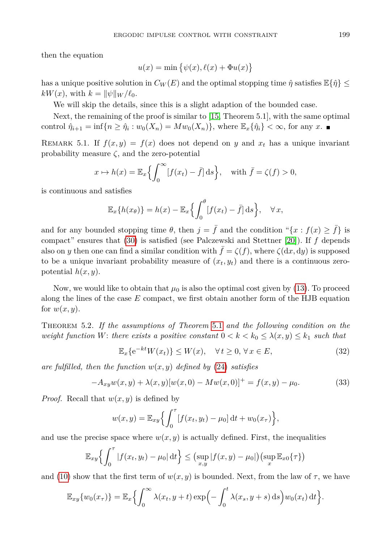then the equation

$$
u(x) = \min \{ \psi(x), \ell(x) + \Phi u(x) \}
$$

has a unique positive solution in  $C_W(E)$  and the optimal stopping time  $\hat{\eta}$  satisfies  $\mathbb{E}\{\hat{\eta}\}\leq$  $kW(x)$ , with  $k = ||\psi||_W / \ell_0$ .

We will skip the details, since this is a slight adaption of the bounded case.

Next, the remaining of the proof is similar to [\[15,](#page-19-4) Theorem 5.1], with the same optimal control  $\hat{\eta}_{i+1} = \inf\{n \geq \hat{\eta}_i : w_0(X_n) = Mw_0(X_n)\}$ , where  $\mathbb{E}_x\{\hat{\eta}_i\} < \infty$ , for any *x*.

<span id="page-12-0"></span>REMARK 5.1. If  $f(x, y) = f(x)$  does not depend on *y* and  $x_t$  has a unique invariant probability measure  $\zeta$ , and the zero-potential

$$
x \mapsto h(x) = \mathbb{E}_x \left\{ \int_0^\infty [f(x_t) - \bar{f}] \, \mathrm{d}s \right\}, \quad \text{with } \bar{f} = \zeta(f) > 0,
$$

is continuous and satisfies

$$
\mathbb{E}_x\{h(x_\theta)\} = h(x) - \mathbb{E}_x\left\{\int_0^\theta [f(x_t) - \bar{f}] ds\right\}, \quad \forall x,
$$

and for any bounded stopping time  $\theta$ , then  $j = \bar{f}$  and the condition " $\{x : f(x) \geq \bar{f}\}\)$  is compact" ensures that [\(30\)](#page-11-0) is satisfied (see Palczewski and Stettner [\[20\]](#page-19-13)). If *f* depends also on *y* then one can find a similar condition with  $f = \zeta(f)$ , where  $\zeta(\mathrm{d}x, \mathrm{d}y)$  is supposed to be a unique invariant probability measure of  $(x_t, y_t)$  and there is a continuous zeropotential *h*(*x, y*).

Now, we would like to obtain that  $\mu_0$  is also the optimal cost given by [\(13\)](#page-5-3). To proceed along the lines of the case *E* compact, we first obtain another form of the HJB equation for  $w(x, y)$ .

<span id="page-12-2"></span>Theorem 5.2. *If the assumptions of Theorem* [5.1](#page-11-2) *and the following condition on the weight function W*: *there exists a positive constant*  $0 < k < k_0 \leq \lambda(x, y) \leq k_1$  *such that* 

<span id="page-12-3"></span><span id="page-12-1"></span>
$$
\mathbb{E}_x\{e^{-kt}W(x_t)\} \le W(x), \quad \forall \, t \ge 0, \, \forall \, x \in E,\tag{32}
$$

*are fulfilled, then the function*  $w(x, y)$  *defined by* [\(24\)](#page-9-0) *satisfies* 

$$
-A_{xy}w(x,y) + \lambda(x,y)[w(x,0) - Mw(x,0)]^{+} = f(x,y) - \mu_0.
$$
\n(33)

*Proof.* Recall that *w*(*x, y*) is defined by

$$
w(x, y) = \mathbb{E}_{xy} \left\{ \int_0^{\tau} [f(x_t, y_t) - \mu_0] dt + w_0(x_{\tau}) \right\},\
$$

and use the precise space where  $w(x, y)$  is actually defined. First, the inequalities

$$
\mathbb{E}_{xy}\left\{\int_0^{\tau} |f(x_t, y_t) - \mu_0| \, \mathrm{d}t\right\} \leq \left(\sup_{x,y} |f(x,y) - \mu_0|\right) \left(\sup_x \mathbb{E}_{x0}\{\tau\}\right)
$$

and [\(10\)](#page-3-4) show that the first term of  $w(x, y)$  is bounded. Next, from the law of  $\tau$ , we have

$$
\mathbb{E}_{xy}\{w_0(x_\tau)\} = \mathbb{E}_x\left\{\int_0^\infty \lambda(x_t, y+t) \exp\left(-\int_0^t \lambda(x_s, y+s) \,ds\right) w_0(x_t) \,dt\right\}.
$$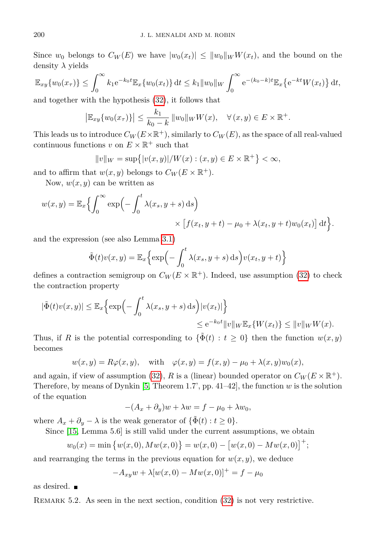Since  $w_0$  belongs to  $C_W(E)$  we have  $|w_0(x_t)| \leq ||w_0||_W W(x_t)$ , and the bound on the density *λ* yields

$$
\mathbb{E}_{xy}\{w_0(x_\tau)\} \le \int_0^\infty k_1 e^{-k_0 t} \mathbb{E}_x\{w_0(x_t)\} dt \le k_1 \|w_0\|_W \int_0^\infty e^{-(k_0 - k)t} \mathbb{E}_x\{e^{-kt}W(x_t)\} dt,
$$

and together with the hypothesis [\(32\)](#page-12-1), it follows that

$$
|\mathbb{E}_{xy}\{w_0(x_\tau)\}| \leq \frac{k_1}{k_0 - k} ||w_0||_W W(x), \quad \forall (x, y) \in E \times \mathbb{R}^+.
$$

This leads us to introduce  $C_W(E\times\mathbb{R}^+)$ , similarly to  $C_W(E)$ , as the space of all real-valued continuous functions  $v$  on  $E \times \mathbb{R}^+$  such that

$$
||v||_W = \sup\{|v(x, y)|/W(x) : (x, y) \in E \times \mathbb{R}^+\} < \infty,
$$

and to affirm that  $w(x, y)$  belongs to  $C_W(E \times \mathbb{R}^+).$ 

Now,  $w(x, y)$  can be written as

$$
w(x,y) = \mathbb{E}_x \Big\{ \int_0^\infty \exp\Big(-\int_0^t \lambda(x_s, y+s) \, ds\Big) \times \Big[f(x_t, y+t) - \mu_0 + \lambda(x_t, y+t) w_0(x_t)\Big] dt \Big\}.
$$

and the expression (see also Lemma [3.1\)](#page-6-5)

$$
\tilde{\Phi}(t)v(x,y) = \mathbb{E}_x \Big\{ \exp\Big(-\int_0^t \lambda(x_s, y+s) \,ds\Big)v(x_t, y+t)\Big\}
$$

defines a contraction semigroup on  $C_W(E \times \mathbb{R}^+)$ . Indeed, use assumption [\(32\)](#page-12-1) to check the contraction property

$$
|\tilde{\Phi}(t)v(x,y)| \leq \mathbb{E}_x \Big\{ \exp\Big(-\int_0^t \lambda(x_s, y+s) \, ds\Big)|v(x_t)|\Big\}
$$
  

$$
\leq e^{-k_0 t} ||v||_W \mathbb{E}_x \{W(x_t)\} \leq ||v||_W W(x).
$$

Thus, if *R* is the potential corresponding to  $\{\tilde{\Phi}(t): t \geq 0\}$  then the function  $w(x, y)$ becomes

$$
w(x,y) = R\varphi(x,y), \quad \text{with} \quad \varphi(x,y) = f(x,y) - \mu_0 + \lambda(x,y)w_0(x),
$$

and again, if view of assumption [\(32\)](#page-12-1), *R* is a (linear) bounded operator on  $C_W(E \times \mathbb{R}^+)$ . Therefore, by means of Dynkin [\[5,](#page-18-4) Theorem 1.7', pp. 41–42], the function *w* is the solution of the equation

$$
-(A_x+\partial_y)w+\lambda w=f-\mu_0+\lambda w_0,
$$

where  $A_x + \partial_y - \lambda$  is the weak generator of  $\{\tilde{\Phi}(t) : t \geq 0\}.$ 

Since [\[15,](#page-19-4) Lemma 5.6] is still valid under the current assumptions, we obtain

$$
w_0(x) = \min \{w(x, 0), Mw(x, 0)\} = w(x, 0) - [w(x, 0) - Mw(x, 0)]^+;
$$

and rearranging the terms in the previous equation for  $w(x, y)$ , we deduce

$$
-A_{xy}w + \lambda [w(x, 0) - Mw(x, 0)]^{+} = f - \mu_0
$$

as desired.

<span id="page-13-0"></span>REMARK 5.2. As seen in the next section, condition [\(32\)](#page-12-1) is not very restrictive.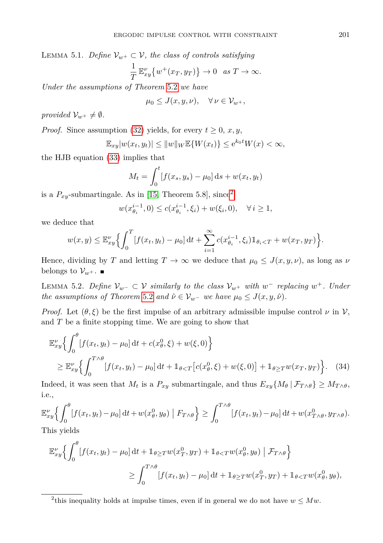LEMMA 5.1. *Define*  $V_{w^+} \subset V$ *, the class of controls satisfying* 1 *T*  $\mathbb{E}_{xy}^{\nu} \left\{ w^{+}(x_{T}, y_{T}) \right\} \to 0 \text{ as } T \to \infty.$ 

*Under the assumptions of Theorem* [5.2](#page-12-2) *we have*

 $\mu_0 \leq J(x, y, \nu), \quad \forall \nu \in \mathcal{V}_{w+},$ 

*provided*  $V_{w^+} \neq \emptyset$ *.* 

*Proof.* Since assumption [\(32\)](#page-12-1) yields, for every  $t \geq 0$ ,  $x, y$ ,

$$
\mathbb{E}_{xy}|w(x_t, y_t)| \leq ||w||_W \mathbb{E}\{W(x_t)\} \leq e^{k_0 t} W(x) < \infty,
$$

the HJB equation [\(33\)](#page-12-3) implies that

$$
M_t = \int_0^t [f(x_s, y_s) - \mu_0] \, ds + w(x_t, y_t)
$$

is a  $P_{xy}$ -submartingale. As in [\[15,](#page-19-4) Theorem 5.8], since<sup>[2](#page-14-0)</sup>

<span id="page-14-1"></span>
$$
w(x_{\theta_i}^{i-1}, 0) \le c(x_{\theta_i}^{i-1}, \xi_i) + w(\xi_i, 0), \quad \forall i \ge 1,
$$

we deduce that

$$
w(x,y) \leq \mathbb{E}_x^{\nu} \Big\{ \int_0^T [f(x_t, y_t) - \mu_0] dt + \sum_{i=1}^{\infty} c(x_{\theta_i}^{i-1}, \xi_i) \mathbb{1}_{\theta_i < T} + w(x_T, y_T) \Big\}.
$$

Hence, dividing by *T* and letting  $T \to \infty$  we deduce that  $\mu_0 \leq J(x, y, \nu)$ , as long as  $\nu$ belongs to  $\mathcal{V}_{w+}$ .

<span id="page-14-2"></span>LEMMA 5.2. *Define*  $V_{w^-} ⊂ V$  *similarly to the class*  $V_{w^+}$  *with*  $w^-$  *replacing*  $w^+$ *. Under the assumptions of Theorem* [5.2](#page-12-2) *and*  $\hat{\nu} \in V_{w^-}$  *we have*  $\mu_0 \leq J(x, y, \hat{\nu})$ *.* 

*Proof.* Let  $(\theta, \xi)$  be the first impulse of an arbitrary admissible impulse control  $\nu$  in  $\mathcal{V}$ , and *T* be a finite stopping time. We are going to show that

$$
\mathbb{E}_{xy}^{\nu} \Big\{ \int_0^{\theta} [f(x_t, y_t) - \mu_0] dt + c(x_\theta^0, \xi) + w(\xi, 0) \Big\}
$$
  
\n
$$
\geq \mathbb{E}_{xy}^{\nu} \Big\{ \int_0^{T \wedge \theta} [f(x_t, y_t) - \mu_0] dt + \mathbb{1}_{\theta < T} [c(x_\theta^0, \xi) + w(\xi, 0)] + \mathbb{1}_{\theta \geq T} w(x_T, y_T) \Big\}. \quad (34)
$$

Indeed, it was seen that  $M_t$  is a  $P_{xy}$  submartingale, and thus  $E_{xy}\{M_\theta | \mathcal{F}_{T\wedge\theta}\}\geq M_{T\wedge\theta}$ , i.e.,

$$
\mathbb{E}_{xy}^{\nu} \Big\{ \int_0^{\theta} [f(x_t, y_t) - \mu_0] dt + w(x_\theta^0, y_\theta) \mid F_{T \wedge \theta} \Big\} \ge \int_0^{T \wedge \theta} [f(x_t, y_t) - \mu_0] dt + w(x_{T \wedge \theta}^0, y_{T \wedge \theta}).
$$
  
This yields

r ms yield

$$
\mathbb{E}_x^{\nu} \left\{ \int_0^{\theta} \left[ f(x_t, y_t) - \mu_0 \right] dt + \mathbb{1}_{\theta \ge T} w(x_T^0, y_T) + \mathbb{1}_{\theta < T} w(x_\theta^0, y_\theta) \middle| \mathcal{F}_{T \wedge \theta} \right\} \n\ge \int_0^{T \wedge \theta} \left[ f(x_t, y_t) - \mu_0 \right] dt + \mathbb{1}_{\theta \ge T} w(x_T^0, y_T) + \mathbb{1}_{\theta < T} w(x_\theta^0, y_\theta),
$$

<span id="page-14-0"></span><sup>&</sup>lt;sup>2</sup>this inequality holds at impulse times, even if in general we do not have  $w \leq Mw$ .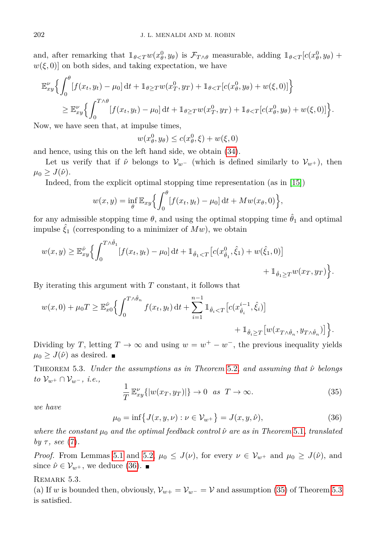and, after remarking that  $1_{\theta < T} w(x_\theta^0, y_\theta)$  is  $\mathcal{F}_{T \wedge \theta}$  measurable, adding  $1_{\theta < T} [c(x_\theta^0, y_\theta) +$  $w(\xi, 0)$  on both sides, and taking expectation, we have

$$
\mathbb{E}_{xy}^{\nu} \Big\{ \int_0^{\theta} [f(x_t, y_t) - \mu_0] dt + \mathbb{1}_{\theta \ge T} w(x_T^0, y_T) + \mathbb{1}_{\theta < T} [c(x_\theta^0, y_\theta) + w(\xi, 0)] \Big\}
$$
\n
$$
\ge \mathbb{E}_{xy}^{\nu} \Big\{ \int_0^{T \wedge \theta} [f(x_t, y_t) - \mu_0] dt + \mathbb{1}_{\theta \ge T} w(x_T^0, y_T) + \mathbb{1}_{\theta < T} [c(x_\theta^0, y_\theta) + w(\xi, 0)] \Big\}.
$$

Now, we have seen that, at impulse times,

$$
w(x_{\theta}^0, y_{\theta}) \le c(x_{\theta}^0, \xi) + w(\xi, 0)
$$

and hence, using this on the left hand side, we obtain [\(34\)](#page-14-1).

Let us verify that if  $\hat{\nu}$  belongs to  $\mathcal{V}_{w}$ − (which is defined similarly to  $\mathcal{V}_{w+}$ ), then  $\mu_0 \geq J(\hat{\nu}).$ 

Indeed, from the explicit optimal stopping time representation (as in [\[15\]](#page-19-4))

$$
w(x,y) = \inf_{\theta} \mathbb{E}_{xy} \left\{ \int_0^{\theta} \left[ f(x_t, y_t) - \mu_0 \right] dt + M w(x_{\theta}, 0) \right\},\
$$

for any admissible stopping time  $\theta$ , and using the optimal stopping time  $\hat{\theta}_1$  and optimal impulse  $\hat{\xi}_1$  (corresponding to a minimizer of  $Mw$ ), we obtain

$$
w(x,y) \geq \mathbb{E}_{xy}^{\hat{\nu}} \Big\{ \int_0^{T \wedge \hat{\theta}_1} [f(x_t, y_t) - \mu_0] dt + \mathbb{1}_{\hat{\theta}_1 < T} \big[ c(x_{\hat{\theta}_1}^0, \hat{\xi}_1) + w(\hat{\xi}_1, 0) \big] + \mathbb{1}_{\hat{\theta}_1 \geq T} w(x_T, y_T) \Big\}.
$$

By iterating this argument with *T* constant, it follows that

$$
\begin{aligned} w(x,0)+\mu_0 T & \geq \mathbb{E}_{x0}^{\hat{\nu}}\Big\{\int_0^{T\wedge\hat{\theta}_n}f(x_t,y_t)\,\mathrm{d} t+\sum_{i=1}^{n-1}\mathbbm{1}_{\hat{\theta}_i
$$

Dividing by *T*, letting  $T \to \infty$  and using  $w = w^+ - w^-$ , the previous inequality yields  $\mu_0 \geq J(\hat{\nu})$  as desired.  $\blacksquare$ 

<span id="page-15-2"></span>Theorem 5.3. *Under the assumptions as in Theorem* [5.2](#page-12-2)*, and assuming that ν*ˆ *belongs to* V*w*<sup>+</sup> ∩ V*w*<sup>−</sup> *, i.e.,*

<span id="page-15-1"></span>
$$
\frac{1}{T} \mathbb{E}_{xy}^{\nu} \{|w(x_T, y_T)|\} \to 0 \quad \text{as} \quad T \to \infty.
$$
 (35)

<span id="page-15-0"></span>*we have*

$$
\mu_0 = \inf \{ J(x, y, \nu) : \nu \in \mathcal{V}_{w^+} \} = J(x, y, \hat{\nu}), \tag{36}
$$

*where the constant*  $\mu_0$  *and the optimal feedback control*  $\hat{\nu}$  *are as in Theorem* [5.1](#page-11-2)*, translated*  $by \tau$ *, see* [\(7\)](#page-3-3).

*Proof.* From Lemmas [5.1](#page-13-0) and [5.2,](#page-14-2)  $\mu_0 \leq J(\nu)$ , for every  $\nu \in V_{w^+}$  and  $\mu_0 \geq J(\hat{\nu})$ , and since  $\hat{\nu} \in \mathcal{V}_{w+}$ , we deduce [\(36\)](#page-15-0).

## REMARK 5.3.

(a) If *w* is bounded then, obviously,  $\mathcal{V}_{w+} = \mathcal{V}_{w-} = \mathcal{V}$  and assumption [\(35\)](#page-15-1) of Theorem [5.3](#page-15-2) is satisfied.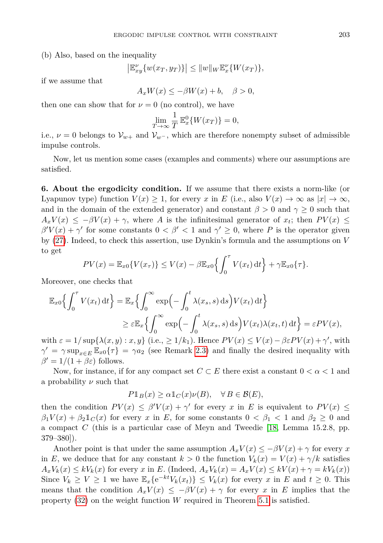(b) Also, based on the inequality

$$
\left|\mathbb{E}_x^{\nu}\{w(x_T, y_T)\}\right| \leq \|w\|_W \mathbb{E}_x^{\nu}\{W(x_T)\},\
$$

if we assume that

$$
A_x W(x) \le -\beta W(x) + b, \quad \beta > 0,
$$

then one can show that for  $\nu = 0$  (no control), we have

$$
\lim_{T \to \infty} \frac{1}{T} \mathbb{E}_x^0 \{ W(x_T) \} = 0,
$$

i.e.,  $\nu = 0$  belongs to  $\mathcal{V}_{w+}$  and  $\mathcal{V}_{w-}$ , which are therefore nonempty subset of admissible impulse controls.

Now, let us mention some cases (examples and comments) where our assumptions are satisfied.

<span id="page-16-0"></span>**6. About the ergodicity condition.** If we assume that there exists a norm-like (or Lyapunov type) function  $V(x) \geq 1$ , for every *x* in *E* (i.e., also  $V(x) \to \infty$  as  $|x| \to \infty$ , and in the domain of the extended generator) and constant  $\beta > 0$  and  $\gamma \geq 0$  such that  $A_xV(x) \le -\beta V(x) + \gamma$ , where *A* is the infinitesimal generator of  $x_t$ ; then  $PV(x) \le$  $\beta'V(x) + \gamma'$  for some constants  $0 < \beta' < 1$  and  $\gamma' \geq 0$ , where *P* is the operator given by [\(27\)](#page-10-2). Indeed, to check this assertion, use Dynkin's formula and the assumptions on *V* to get

$$
PV(x) = \mathbb{E}_{x0}\{V(x_{\tau})\} \le V(x) - \beta \mathbb{E}_{x0}\left\{\int_0^{\tau} V(x_t) dt\right\} + \gamma \mathbb{E}_{x0}\{\tau\}.
$$

Moreover, one checks that

$$
\mathbb{E}_{x0}\left\{\int_{0}^{\tau} V(x_t) dt\right\} = \mathbb{E}_{x}\left\{\int_{0}^{\infty} \exp\left(-\int_{0}^{t} \lambda(x_s, s) ds\right) V(x_t) dt\right\}
$$

$$
\geq \varepsilon \mathbb{E}_{x}\left\{\int_{0}^{\infty} \exp\left(-\int_{0}^{t} \lambda(x_s, s) ds\right) V(x_t) \lambda(x_t, t) dt\right\} = \varepsilon PV(x),
$$

with  $\varepsilon = 1/\sup\{\lambda(x, y) : x, y\}$  (i.e.,  $\geq 1/k_1$ ). Hence  $PV(x) \leq V(x) - \beta \varepsilon PV(x) + \gamma'$ , with  $\gamma' = \gamma \sup_{x \in E} \mathbb{E}_{x0} {\tau} = \gamma a_2$  (see Remark [2.3\)](#page-3-0) and finally the desired inequality with  $\beta' = 1/(1 + \beta \varepsilon)$  follows.

Now, for instance, if for any compact set  $C \subset E$  there exist a constant  $0 < \alpha < 1$  and a probability *ν* such that

$$
P1_B(x) \ge \alpha 1_C(x)\nu(B), \quad \forall B \in \mathcal{B}(E),
$$

then the condition  $PV(x) \leq \beta' V(x) + \gamma'$  for every *x* in *E* is equivalent to  $PV(x) \leq$  $\beta_1 V(x) + \beta_2 \mathbb{1}_C(x)$  for every *x* in *E*, for some constants  $0 < \beta_1 < 1$  and  $\beta_2 \geq 0$  and a compact *C* (this is a particular case of Meyn and Tweedie [\[18,](#page-19-14) Lemma 15.2.8, pp. 379–380]).

Another point is that under the same assumption  $A_x V(x) \leq -\beta V(x) + \gamma$  for every x in *E*, we deduce that for any constant  $k > 0$  the function  $V_k(x) = V(x) + \gamma/k$  satisfies  $A_xV_k(x) \leq kV_k(x)$  for every x in E. (Indeed,  $A_xV_k(x) = A_xV(x) \leq kV(x) + \gamma = kV_k(x)$ ) Since  $V_k \geq V \geq 1$  we have  $\mathbb{E}_x\{e^{-kt}V_k(x_t)\} \leq V_k(x)$  for every *x* in *E* and  $t \geq 0$ . This means that the condition  $A_x V(x) \leq -\beta V(x) + \gamma$  for every *x* in *E* implies that the property [\(32\)](#page-12-1) on the weight function *W* required in Theorem [5.1](#page-11-2) is satisfied.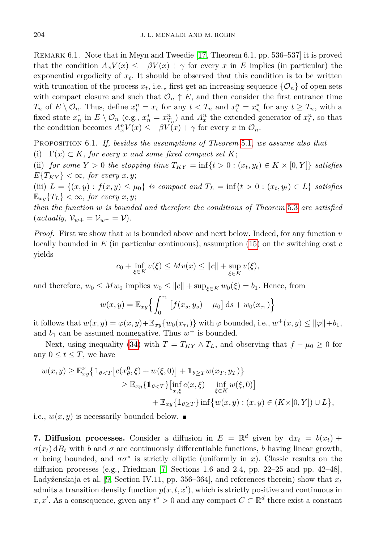Remark 6.1. Note that in Meyn and Tweedie [\[17,](#page-19-15) Theorem 6.1, pp. 536–537] it is proved that the condition  $A_x V(x) \leq -\beta V(x) + \gamma$  for every *x* in *E* implies (in particular) the exponential ergodicity of  $x_t$ . It should be observed that this condition is to be written with truncation of the process  $x_t$ , i.e., first get an increasing sequence  $\{\mathcal{O}_n\}$  of open sets with compact closure and such that  $\mathcal{O}_n \uparrow E$ , and then consider the first entrance time  $T_n$  of  $E \setminus \mathcal{O}_n$ . Thus, define  $x_t^n = x_t$  for any  $t < T_n$  and  $x_t^n = x_n^*$  for any  $t \ge T_n$ , with a fixed state  $x_n^*$  in  $E \setminus \mathcal{O}_n$  (e.g.,  $x_n^* = x_{T_n}^n$ ) and  $A_x^n$  the extended generator of  $x_t^n$ , so that the condition becomes  $A_x^n V(x) \le -\beta V(x) + \gamma$  for every *x* in  $\mathcal{O}_n$ .

Proposition 6.1. *If, besides the assumptions of Theorem* [5.1](#page-11-2)*, we assume also that*

(i)  $\Gamma(x) \subset K$ *, for every x* and some fixed compact set K;

(ii) *for some*  $Y > 0$  *the stopping time*  $T_{KY} = \inf\{t > 0 : (x_t, y_t) \in K \times [0, Y]\}$  *satisfies*  $E{T_{KY}} < \infty$ , for every *x*, *y*;

(iii)  $L = \{(x, y) : f(x, y) \leq \mu_0\}$  *is compact and*  $T_L = \inf\{t > 0 : (x_t, y_t) \in L\}$  *satisfies*  $\mathbb{E}_{xy}\{T_L\} < \infty$ , for every *x*, *y*;

*then the function w is bounded and therefore the conditions of Theorem* [5.3](#page-15-2) *are satisfied*  $(\text{actually}, \mathcal{V}_{w+} = \mathcal{V}_{w-} = \mathcal{V}).$ 

*Proof.* First we show that *w* is bounded above and next below. Indeed, for any function *v* locally bounded in *E* (in particular continuous), assumption [\(15\)](#page-5-2) on the switching cost *c* yields

$$
c_0 + \inf_{\xi \in K} v(\xi) \leq Mv(x) \leq ||c|| + \sup_{\xi \in K} v(\xi),
$$

and therefore,  $w_0 \leq Mw_0$  implies  $w_0 \leq ||c|| + \sup_{\xi \in K} w_0(\xi) = b_1$ . Hence, from

$$
w(x,y) = \mathbb{E}_{xy} \left\{ \int_0^{\tau_1} \left[ f(x_s, y_s) - \mu_0 \right] ds + w_0(x_{\tau_1}) \right\}
$$

it follows that  $w(x, y) = \varphi(x, y) + \mathbb{E}_{xy}\{w_0(x_{\tau_1})\}$  with  $\varphi$  bounded, i.e.,  $w^+(x, y) \le ||\varphi|| + b_1$ , and  $b_1$  can be assumed nonnegative. Thus  $w^+$  is bounded.

Next, using inequality [\(34\)](#page-14-1) with  $T = T_{KY} \wedge T_L$ , and observing that  $f - \mu_0 \geq 0$  for any  $0 \le t \le T$ , we have

$$
w(x,y) \ge \mathbb{E}_{xy}^{\nu} \{ \mathbb{1}_{\theta < T} \left[ c(x_{\theta}^{0}, \xi) + w(\xi, 0) \right] + \mathbb{1}_{\theta \ge T} w(x_{T}, y_{T}) \} \\ \ge \mathbb{E}_{xy} \{ \mathbb{1}_{\theta < T} \} \left[ \inf_{x, \xi} c(x, \xi) + \inf_{\xi \in K} w(\xi, 0) \right] \\ + \mathbb{E}_{xy} \{ \mathbb{1}_{\theta \ge T} \} \inf \{ w(x, y) : (x, y) \in (K \times [0, Y]) \cup L \},
$$

i.e.,  $w(x, y)$  is necessarily bounded below.

**7. Diffusion processes.** Consider a diffusion in  $E = \mathbb{R}^d$  given by  $dx_t = b(x_t) +$  $\sigma(x_t)$  d*B*<sub>*t*</sub> with *b* and  $\sigma$  are continuously differentiable functions, *b* having linear growth, *σ* being bounded, and  $\sigma \sigma^*$  is strictly elliptic (uniformly in *x*). Classic results on the diffusion processes (e.g., Friedman  $[7,$  Sections 1.6 and 2.4, pp. 22–25 and pp. 42–48], Ladyženskaja et al. [\[9,](#page-19-17) Section IV.11, pp. 356–364], and references therein) show that  $x_t$ admits a transition density function  $p(x, t, x')$ , which is strictly positive and continuous in *x*, *x*<sup>'</sup>. As a consequence, given any  $t^*$  > 0 and any compact  $C \subset \mathbb{R}^d$  there exist a constant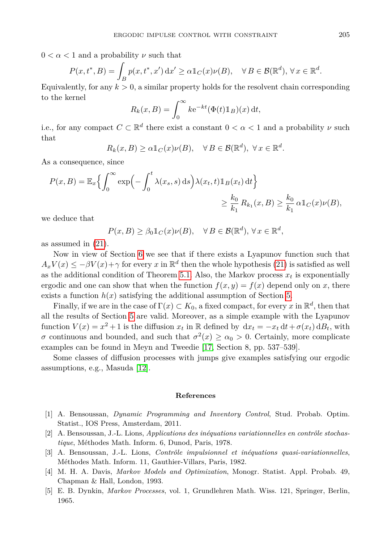$0 < \alpha < 1$  and a probability  $\nu$  such that

$$
P(x,t^*,B) = \int_B p(x,t^*,x') dx' \ge \alpha \mathbb{1}_C(x)\nu(B), \quad \forall B \in \mathcal{B}(\mathbb{R}^d), \forall x \in \mathbb{R}^d.
$$

Equivalently, for any  $k > 0$ , a similar property holds for the resolvent chain corresponding to the kernel

$$
R_k(x, B) = \int_0^\infty k e^{-kt} (\Phi(t) \mathbb{1}_B)(x) dt,
$$

i.e., for any compact  $C \subset \mathbb{R}^d$  there exist a constant  $0 < \alpha < 1$  and a probability  $\nu$  such that

$$
R_k(x, B) \ge \alpha \mathbb{1}_C(x)\nu(B), \quad \forall B \in \mathcal{B}(\mathbb{R}^d), \ \forall x \in \mathbb{R}^d.
$$

As a consequence, since

$$
P(x, B) = \mathbb{E}_x \Biggl\{ \int_0^\infty \exp\Biggl(-\int_0^t \lambda(x_s, s) \, ds\Biggr) \lambda(x_t, t) \mathbb{1}_B(x_t) \, dt \Biggr\}
$$
  

$$
\geq \frac{k_0}{k_1} R_{k_1}(x, B) \geq \frac{k_0}{k_1} \alpha \mathbb{1}_C(x) \nu(B),
$$

we deduce that

$$
P(x, B) \ge \beta_0 \mathbb{1}_C(x)\nu(B), \quad \forall \, B \in \mathcal{B}(\mathbb{R}^d), \, \forall \, x \in \mathbb{R}^d,
$$

as assumed in [\(21\)](#page-6-4).

Now in view of Section [6](#page-16-0) we see that if there exists a Lyapunov function such that  $A_x V(x) \le -\beta V(x) + \gamma$  for every *x* in  $\mathbb{R}^d$  then the whole hypothesis [\(21\)](#page-6-4) is satisfied as well as the additional condition of Theorem [5.1.](#page-11-2) Also, the Markov process  $x_t$  is exponentially ergodic and one can show that when the function  $f(x, y) = f(x)$  depend only on *x*, there exists a function  $h(x)$  satisfying the additional assumption of Section [5.](#page-11-3)

Finally, if we are in the case of  $\Gamma(x) \subset K_0$ , a fixed compact, for every x in  $\mathbb{R}^d$ , then that all the results of Section [5](#page-11-3) are valid. Moreover, as a simple example with the Lyapunov function  $V(x) = x^2 + 1$  is the diffusion  $x_t$  in R defined by  $dx_t = -x_t dt + \sigma(x_t) dB_t$ , with *σ* continuous and bounded, and such that  $\sigma^2(x) \ge \alpha_0 > 0$ . Certainly, more complicate examples can be found in Meyn and Tweedie [\[17,](#page-19-15) Section 8, pp. 537–539].

Some classes of diffusion processes with jumps give examples satisfying our ergodic assumptions, e.g., Masuda [\[12\]](#page-19-18).

#### **References**

- <span id="page-18-2"></span>[1] A. Bensoussan, *Dynamic Programming and Inventory Control*, Stud. Probab. Optim. Statist., IOS Press, Amsterdam, 2011.
- <span id="page-18-0"></span>[2] A. Bensoussan, J.-L. Lions, *Applications des inéquations variationnelles en contrôle stochastique*, Méthodes Math. Inform. 6, Dunod, Paris, 1978.
- <span id="page-18-1"></span>[3] A. Bensoussan, J.-L. Lions, *Contrôle impulsionnel et inéquations quasi-variationnelles*, Méthodes Math. Inform. 11, Gauthier-Villars, Paris, 1982.
- <span id="page-18-3"></span>[4] M. H. A. Davis, *Markov Models and Optimization*, Monogr. Statist. Appl. Probab. 49, Chapman & Hall, London, 1993.
- <span id="page-18-4"></span>[5] E. B. Dynkin, *Markov Processes*, vol. 1, Grundlehren Math. Wiss. 121, Springer, Berlin, 1965.